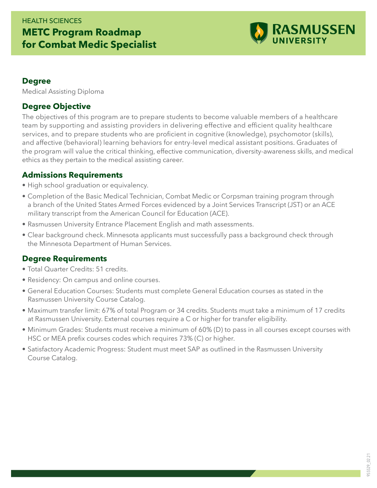## HEALTH SCIENCES **METC Program Roadmap for Combat Medic Specialist**



#### **Degree**

Medical Assisting Diploma

### **Degree Objective**

The objectives of this program are to prepare students to become valuable members of a healthcare team by supporting and assisting providers in delivering effective and efficient quality healthcare services, and to prepare students who are proficient in cognitive (knowledge), psychomotor (skills), and affective (behavioral) learning behaviors for entry-level medical assistant positions. Graduates of the program will value the critical thinking, effective communication, diversity-awareness skills, and medical ethics as they pertain to the medical assisting career.

#### **Admissions Requirements**

- High school graduation or equivalency.
- Completion of the Basic Medical Technician, Combat Medic or Corpsman training program through a branch of the United States Armed Forces evidenced by a Joint Services Transcript (JST) or an ACE military transcript from the American Council for Education (ACE).
- Rasmussen University Entrance Placement English and math assessments.
- Clear background check. Minnesota applicants must successfully pass a background check through the Minnesota Department of Human Services.

### **Degree Requirements**

- Total Quarter Credits: 51 credits.
- Residency: On campus and online courses.
- General Education Courses: Students must complete General Education courses as stated in the Rasmussen University Course Catalog.
- Maximum transfer limit: 67% of total Program or 34 credits. Students must take a minimum of 17 credits at Rasmussen University. External courses require a C or higher for transfer eligibility.
- Minimum Grades: Students must receive a minimum of 60% (D) to pass in all courses except courses with HSC or MEA prefix courses codes which requires 73% (C) or higher.
- Satisfactory Academic Progress: Student must meet SAP as outlined in the Rasmussen University Course Catalog.